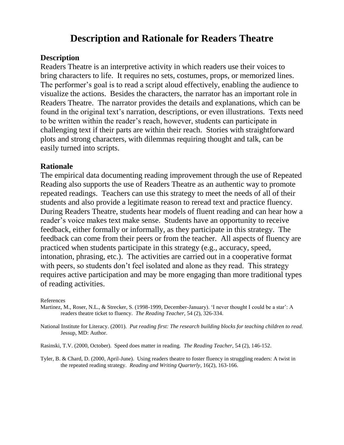## **Description and Rationale for Readers Theatre**

### **Description**

Readers Theatre is an interpretive activity in which readers use their voices to bring characters to life. It requires no sets, costumes, props, or memorized lines. The performer's goal is to read a script aloud effectively, enabling the audience to visualize the actions. Besides the characters, the narrator has an important role in Readers Theatre. The narrator provides the details and explanations, which can be found in the original text's narration, descriptions, or even illustrations. Texts need to be written within the reader"s reach, however, students can participate in challenging text if their parts are within their reach. Stories with straightforward plots and strong characters, with dilemmas requiring thought and talk, can be easily turned into scripts.

### **Rationale**

The empirical data documenting reading improvement through the use of Repeated Reading also supports the use of Readers Theatre as an authentic way to promote repeated readings. Teachers can use this strategy to meet the needs of all of their students and also provide a legitimate reason to reread text and practice fluency. During Readers Theatre, students hear models of fluent reading and can hear how a reader"s voice makes text make sense. Students have an opportunity to receive feedback, either formally or informally, as they participate in this strategy. The feedback can come from their peers or from the teacher. All aspects of fluency are practiced when students participate in this strategy (e.g., accuracy, speed, intonation, phrasing, etc.). The activities are carried out in a cooperative format with peers, so students don't feel isolated and alone as they read. This strategy requires active participation and may be more engaging than more traditional types of reading activities.

#### References

- Martinez, M., Roser, N.L., & Strecker, S. (1998-1999, December-January). 'I never thought I could be a star': A readers theatre ticket to fluency. *The Reading Teacher*, 54 (2), 326-334.
- National Institute for Literacy. (2001). *Put reading first: The research building blocks for teaching children to read.* Jessup, MD: Author.
- Rasinski, T.V. (2000, October). Speed does matter in reading. *The Reading Teacher*, 54 (2), 146-152.
- Tyler, B. & Chard, D. (2000, April-June). Using readers theatre to foster fluency in struggling readers: A twist in the repeated reading strategy. *Reading and Writing Quarterly*, 16(2), 163-166.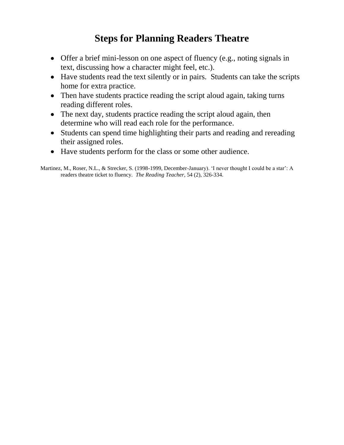# **Steps for Planning Readers Theatre**

- Offer a brief mini-lesson on one aspect of fluency (e.g., noting signals in text, discussing how a character might feel, etc.).
- Have students read the text silently or in pairs. Students can take the scripts home for extra practice.
- Then have students practice reading the script aloud again, taking turns reading different roles.
- The next day, students practice reading the script aloud again, then determine who will read each role for the performance.
- Students can spend time highlighting their parts and reading and rereading their assigned roles.
- Have students perform for the class or some other audience.

Martinez, M., Roser, N.L., & Strecker, S. (1998-1999, December-January). 'I never thought I could be a star': A readers theatre ticket to fluency. *The Reading Teacher*, 54 (2), 326-334.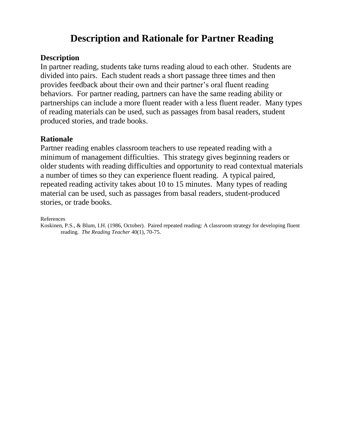# **Description and Rationale for Partner Reading**

### **Description**

In partner reading, students take turns reading aloud to each other. Students are divided into pairs. Each student reads a short passage three times and then provides feedback about their own and their partner"s oral fluent reading behaviors. For partner reading, partners can have the same reading ability or partnerships can include a more fluent reader with a less fluent reader. Many types of reading materials can be used, such as passages from basal readers, student produced stories, and trade books.

### **Rationale**

Partner reading enables classroom teachers to use repeated reading with a minimum of management difficulties. This strategy gives beginning readers or older students with reading difficulties and opportunity to read contextual materials a number of times so they can experience fluent reading. A typical paired, repeated reading activity takes about 10 to 15 minutes. Many types of reading material can be used, such as passages from basal readers, student-produced stories, or trade books.

References

Koskinen, P.S., & Blum, I.H. (1986, October). Paired repeated reading: A classroom strategy for developing fluent reading. *The Reading Teacher* 40(1), 70-75.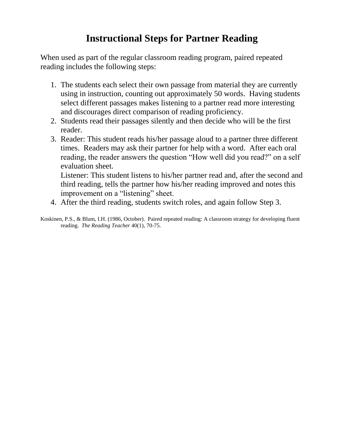# **Instructional Steps for Partner Reading**

When used as part of the regular classroom reading program, paired repeated reading includes the following steps:

- 1. The students each select their own passage from material they are currently using in instruction, counting out approximately 50 words. Having students select different passages makes listening to a partner read more interesting and discourages direct comparison of reading proficiency.
- 2. Students read their passages silently and then decide who will be the first reader.
- 3. Reader: This student reads his/her passage aloud to a partner three different times. Readers may ask their partner for help with a word. After each oral reading, the reader answers the question "How well did you read?" on a self evaluation sheet.

Listener: This student listens to his/her partner read and, after the second and third reading, tells the partner how his/her reading improved and notes this improvement on a "listening" sheet.

- 4. After the third reading, students switch roles, and again follow Step 3.
- Koskinen, P.S., & Blum, I.H. (1986, October). Paired repeated reading: A classroom strategy for developing fluent reading. *The Reading Teacher* 40(1), 70-75.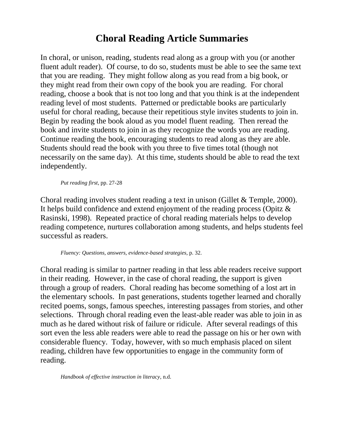# **Choral Reading Article Summaries**

In choral, or unison, reading, students read along as a group with you (or another fluent adult reader). Of course, to do so, students must be able to see the same text that you are reading. They might follow along as you read from a big book, or they might read from their own copy of the book you are reading. For choral reading, choose a book that is not too long and that you think is at the independent reading level of most students. Patterned or predictable books are particularly useful for choral reading, because their repetitious style invites students to join in. Begin by reading the book aloud as you model fluent reading. Then reread the book and invite students to join in as they recognize the words you are reading. Continue reading the book, encouraging students to read along as they are able. Students should read the book with you three to five times total (though not necessarily on the same day). At this time, students should be able to read the text independently.

*Put reading first*, pp. 27-28

Choral reading involves student reading a text in unison (Gillet & Temple, 2000). It helps build confidence and extend enjoyment of the reading process (Opitz & Rasinski, 1998). Repeated practice of choral reading materials helps to develop reading competence, nurtures collaboration among students, and helps students feel successful as readers.

*Fluency: Questions, answers, evidence-based strategies*, p. 32.

Choral reading is similar to partner reading in that less able readers receive support in their reading. However, in the case of choral reading, the support is given through a group of readers. Choral reading has become something of a lost art in the elementary schools. In past generations, students together learned and chorally recited poems, songs, famous speeches, interesting passages from stories, and other selections. Through choral reading even the least-able reader was able to join in as much as he dared without risk of failure or ridicule. After several readings of this sort even the less able readers were able to read the passage on his or her own with considerable fluency. Today, however, with so much emphasis placed on silent reading, children have few opportunities to engage in the community form of reading.

*Handbook of effective instruction in literacy*, n.d.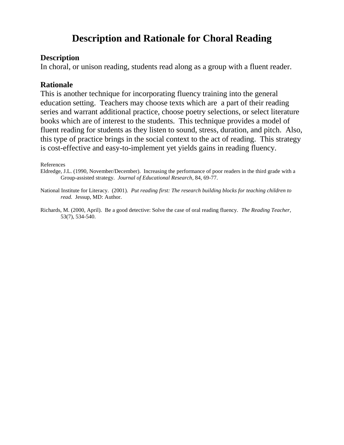# **Description and Rationale for Choral Reading**

#### **Description**

In choral, or unison reading, students read along as a group with a fluent reader.

### **Rationale**

This is another technique for incorporating fluency training into the general education setting. Teachers may choose texts which are a part of their reading series and warrant additional practice, choose poetry selections, or select literature books which are of interest to the students. This technique provides a model of fluent reading for students as they listen to sound, stress, duration, and pitch. Also, this type of practice brings in the social context to the act of reading. This strategy is cost-effective and easy-to-implement yet yields gains in reading fluency.

#### References

Eldredge, J.L. (1990, November/December). Increasing the performance of poor readers in the third grade with a Group-assisted strategy. *Journal of Educational Research*, 84, 69-77.

National Institute for Literacy. (2001). *Put reading first: The research building blocks for teaching children to read.* Jessup, MD: Author.

Richards, M. (2000, April). Be a good detective: Solve the case of oral reading fluency. *The Reading Teacher*, 53(7), 534-540.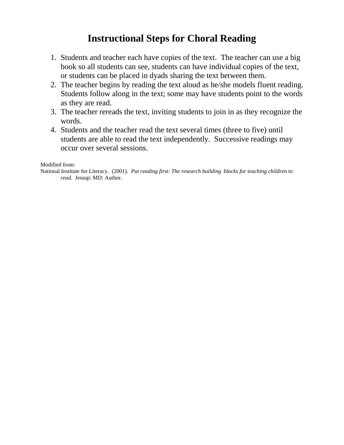# **Instructional Steps for Choral Reading**

- 1. Students and teacher each have copies of the text. The teacher can use a big book so all students can see, students can have individual copies of the text, or students can be placed in dyads sharing the text between them.
- 2. The teacher begins by reading the text aloud as he/she models fluent reading. Students follow along in the text; some may have students point to the words as they are read.
- 3. The teacher rereads the text, inviting students to join in as they recognize the words.
- 4. Students and the teacher read the text several times (three to five) until students are able to read the text independently. Successive readings may occur over several sessions.

Modified from:

National Institute for Literacy. (2001). *Put reading first: The research building blocks for teaching children to read.* Jessup: MD: Author.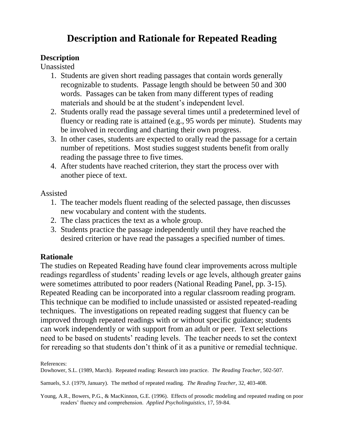# **Description and Rationale for Repeated Reading**

### **Description**

Unassisted

- 1. Students are given short reading passages that contain words generally recognizable to students. Passage length should be between 50 and 300 words. Passages can be taken from many different types of reading materials and should be at the student"s independent level.
- 2. Students orally read the passage several times until a predetermined level of fluency or reading rate is attained (e.g., 95 words per minute). Students may be involved in recording and charting their own progress.
- 3. In other cases, students are expected to orally read the passage for a certain number of repetitions. Most studies suggest students benefit from orally reading the passage three to five times.
- 4. After students have reached criterion, they start the process over with another piece of text.

Assisted

- 1. The teacher models fluent reading of the selected passage, then discusses new vocabulary and content with the students.
- 2. The class practices the text as a whole group.
- 3. Students practice the passage independently until they have reached the desired criterion or have read the passages a specified number of times.

### **Rationale**

The studies on Repeated Reading have found clear improvements across multiple readings regardless of students' reading levels or age levels, although greater gains were sometimes attributed to poor readers (National Reading Panel, pp. 3-15). Repeated Reading can be incorporated into a regular classroom reading program. This technique can be modified to include unassisted or assisted repeated-reading techniques. The investigations on repeated reading suggest that fluency can be improved through repeated readings with or without specific guidance; students can work independently or with support from an adult or peer. Text selections need to be based on students" reading levels. The teacher needs to set the context for rereading so that students don"t think of it as a punitive or remedial technique.

References:

Dowhower, S.L. (1989, March). Repeated reading: Research into practice. *The Reading Teacher*, 502-507.

Samuels, S.J. (1979, January). The method of repeated reading. *The Reading Teacher*, 32, 403-408.

Young, A.R., Bowers, P.G., & MacKinnon, G.E. (1996). Effects of prosodic modeling and repeated reading on poor readers" fluency and comprehension. *Applied Psycholinguistics*, 17, 59-84.